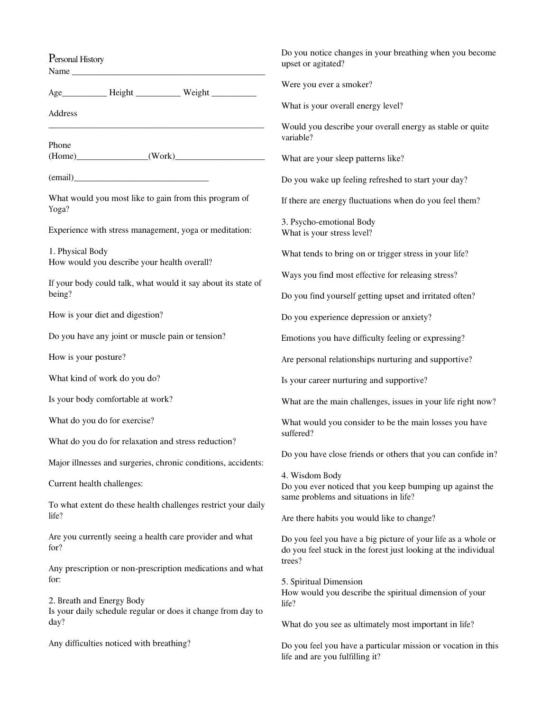| Personal History<br>Name                                                                  | Do you notice changes in your breathing when you become<br>upset or agitated?                                                   |
|-------------------------------------------------------------------------------------------|---------------------------------------------------------------------------------------------------------------------------------|
|                                                                                           | Were you ever a smoker?                                                                                                         |
| Address                                                                                   | What is your overall energy level?                                                                                              |
| Phone                                                                                     | Would you describe your overall energy as stable or quite<br>variable?                                                          |
| $(Home)$ $(Work)$                                                                         | What are your sleep patterns like?                                                                                              |
|                                                                                           | Do you wake up feeling refreshed to start your day?                                                                             |
| What would you most like to gain from this program of<br>Yoga?                            | If there are energy fluctuations when do you feel them?                                                                         |
| Experience with stress management, yoga or meditation:                                    | 3. Psycho-emotional Body<br>What is your stress level?                                                                          |
| 1. Physical Body<br>How would you describe your health overall?                           | What tends to bring on or trigger stress in your life?                                                                          |
| If your body could talk, what would it say about its state of                             | Ways you find most effective for releasing stress?                                                                              |
| being?                                                                                    | Do you find yourself getting upset and irritated often?                                                                         |
| How is your diet and digestion?                                                           | Do you experience depression or anxiety?                                                                                        |
| Do you have any joint or muscle pain or tension?                                          | Emotions you have difficulty feeling or expressing?                                                                             |
| How is your posture?                                                                      | Are personal relationships nurturing and supportive?                                                                            |
| What kind of work do you do?                                                              | Is your career nurturing and supportive?                                                                                        |
| Is your body comfortable at work?                                                         | What are the main challenges, issues in your life right now?                                                                    |
| What do you do for exercise?                                                              | What would you consider to be the main losses you have                                                                          |
| What do you do for relaxation and stress reduction?                                       | suffered?                                                                                                                       |
| Major illnesses and surgeries, chronic conditions, accidents:                             | Do you have close friends or others that you can confide in?                                                                    |
| Current health challenges:                                                                | 4. Wisdom Body<br>Do you ever noticed that you keep bumping up against the                                                      |
| To what extent do these health challenges restrict your daily<br>life?                    | same problems and situations in life?<br>Are there habits you would like to change?                                             |
| Are you currently seeing a health care provider and what<br>for?                          | Do you feel you have a big picture of your life as a whole or<br>do you feel stuck in the forest just looking at the individual |
| Any prescription or non-prescription medications and what<br>for:                         | trees?<br>5. Spiritual Dimension                                                                                                |
| 2. Breath and Energy Body<br>Is your daily schedule regular or does it change from day to | How would you describe the spiritual dimension of your<br>life?                                                                 |
| day?                                                                                      | What do you see as ultimately most important in life?                                                                           |
| Any difficulties noticed with breathing?                                                  | Do you feel you have a particular mission or vocation in this<br>life and are you fulfilling it?                                |